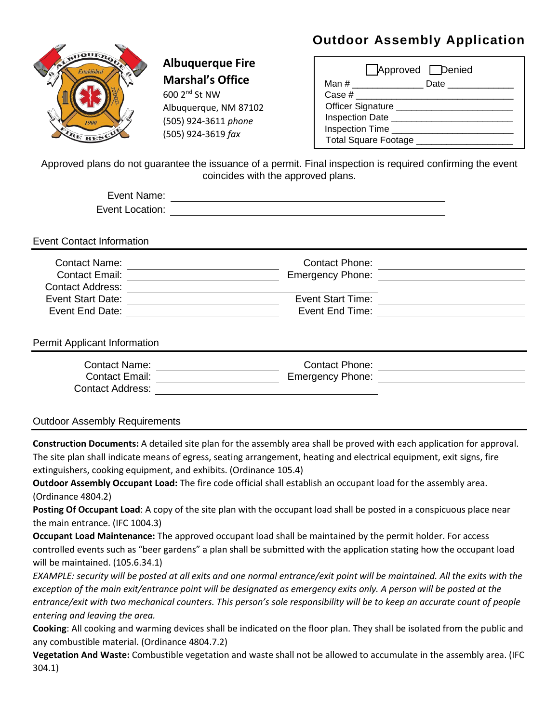## **Outdoor Assembly Application**



## **Albuquerque Fire Marshal's Office**

600 2nd St NW Albuquerque, NM 87102 (505) 924-3611 *phone* (505) 924-3619 *fax*

|          | Approved Denied                   |               |
|----------|-----------------------------------|---------------|
| Man #    |                                   | Date ________ |
| Case $#$ |                                   |               |
|          | Officer Signature _______________ |               |
|          | Inspection Date ____              |               |
|          | Inspection Time                   |               |
|          | Total Square Footage _            |               |

Approved plans do not guarantee the issuance of a permit. Final inspection is required confirming the event coincides with the approved plans.

| Event Name:     |  |
|-----------------|--|
| Event Location: |  |

Event Contact Information

| Contact Name:<br><b>Contact Email:</b> | <b>Contact Phone:</b><br><b>Emergency Phone:</b> |  |
|----------------------------------------|--------------------------------------------------|--|
| <b>Contact Address:</b>                |                                                  |  |
| Event Start Date:                      | <b>Event Start Time:</b>                         |  |
| Event End Date:                        | Event End Time:                                  |  |

Permit Applicant Information

| Contact Name:           | Contact Phone:          |  |
|-------------------------|-------------------------|--|
| Contact Email:          | <b>Emergency Phone:</b> |  |
| <b>Contact Address:</b> |                         |  |

Outdoor Assembly Requirements

**Construction Documents:** A detailed site plan for the assembly area shall be proved with each application for approval. The site plan shall indicate means of egress, seating arrangement, heating and electrical equipment, exit signs, fire extinguishers, cooking equipment, and exhibits. (Ordinance 105.4)

**Outdoor Assembly Occupant Load:** The fire code official shall establish an occupant load for the assembly area. (Ordinance 4804.2)

**Posting Of Occupant Load**: A copy of the site plan with the occupant load shall be posted in a conspicuous place near the main entrance. (IFC 1004.3)

**Occupant Load Maintenance:** The approved occupant load shall be maintained by the permit holder. For access controlled events such as "beer gardens" a plan shall be submitted with the application stating how the occupant load will be maintained. (105.6.34.1)

*EXAMPLE: security will be posted at all exits and one normal entrance/exit point will be maintained. All the exits with the exception of the main exit/entrance point will be designated as emergency exits only. A person will be posted at the entrance/exit with two mechanical counters. This person's sole responsibility will be to keep an accurate count of people entering and leaving the area.*

**Cooking**: All cooking and warming devices shall be indicated on the floor plan. They shall be isolated from the public and any combustible material. (Ordinance 4804.7.2)

**Vegetation And Waste:** Combustible vegetation and waste shall not be allowed to accumulate in the assembly area. (IFC 304.1)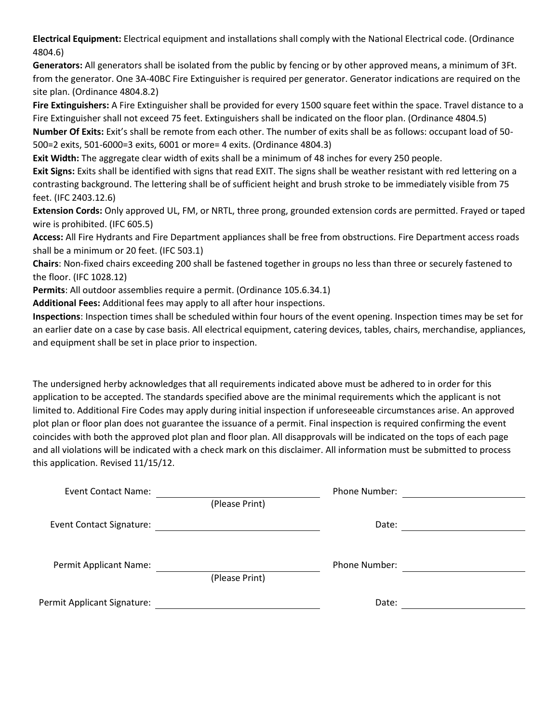**Electrical Equipment:** Electrical equipment and installations shall comply with the National Electrical code. (Ordinance 4804.6)

**Generators:** All generators shall be isolated from the public by fencing or by other approved means, a minimum of 3Ft. from the generator. One 3A-40BC Fire Extinguisher is required per generator. Generator indications are required on the site plan. (Ordinance 4804.8.2)

**Fire Extinguishers:** A Fire Extinguisher shall be provided for every 1500 square feet within the space. Travel distance to a Fire Extinguisher shall not exceed 75 feet. Extinguishers shall be indicated on the floor plan. (Ordinance 4804.5) **Number Of Exits:** Exit's shall be remote from each other. The number of exits shall be as follows: occupant load of 50- 500=2 exits, 501-6000=3 exits, 6001 or more= 4 exits. (Ordinance 4804.3)

**Exit Width:** The aggregate clear width of exits shall be a minimum of 48 inches for every 250 people.

**Exit Signs:** Exits shall be identified with signs that read EXIT. The signs shall be weather resistant with red lettering on a contrasting background. The lettering shall be of sufficient height and brush stroke to be immediately visible from 75 feet. (IFC 2403.12.6)

**Extension Cords:** Only approved UL, FM, or NRTL, three prong, grounded extension cords are permitted. Frayed or taped wire is prohibited. (IFC 605.5)

**Access:** All Fire Hydrants and Fire Department appliances shall be free from obstructions. Fire Department access roads shall be a minimum or 20 feet. (IFC 503.1)

**Chairs**: Non-fixed chairs exceeding 200 shall be fastened together in groups no less than three or securely fastened to the floor. (IFC 1028.12)

**Permits**: All outdoor assemblies require a permit. (Ordinance 105.6.34.1)

**Additional Fees:** Additional fees may apply to all after hour inspections.

**Inspections**: Inspection times shall be scheduled within four hours of the event opening. Inspection times may be set for an earlier date on a case by case basis. All electrical equipment, catering devices, tables, chairs, merchandise, appliances, and equipment shall be set in place prior to inspection.

The undersigned herby acknowledges that all requirements indicated above must be adhered to in order for this application to be accepted. The standards specified above are the minimal requirements which the applicant is not limited to. Additional Fire Codes may apply during initial inspection if unforeseeable circumstances arise. An approved plot plan or floor plan does not guarantee the issuance of a permit. Final inspection is required confirming the event coincides with both the approved plot plan and floor plan. All disapprovals will be indicated on the tops of each page and all violations will be indicated with a check mark on this disclaimer. All information must be submitted to process this application. Revised 11/15/12.

| Event Contact Name:             |                | Phone Number: |  |
|---------------------------------|----------------|---------------|--|
|                                 | (Please Print) |               |  |
| <b>Event Contact Signature:</b> |                | Date:         |  |
|                                 |                |               |  |
| Permit Applicant Name:          |                | Phone Number: |  |
|                                 | (Please Print) |               |  |
| Permit Applicant Signature:     |                | Date:         |  |
|                                 |                |               |  |